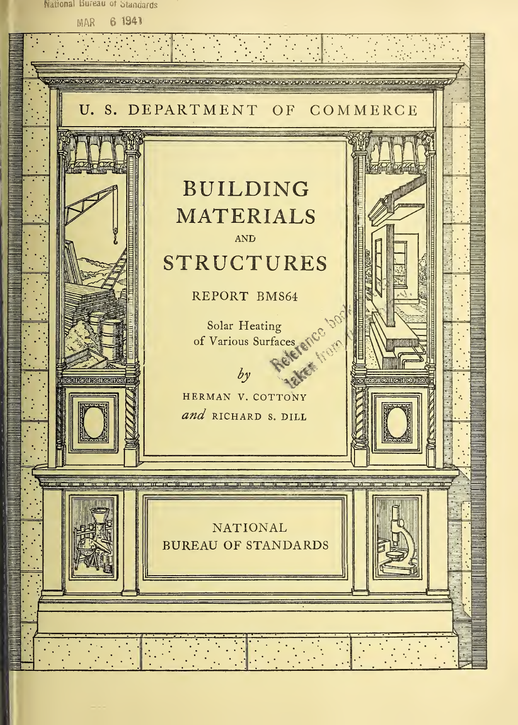National Bureau of Standards

6 1941 MAR

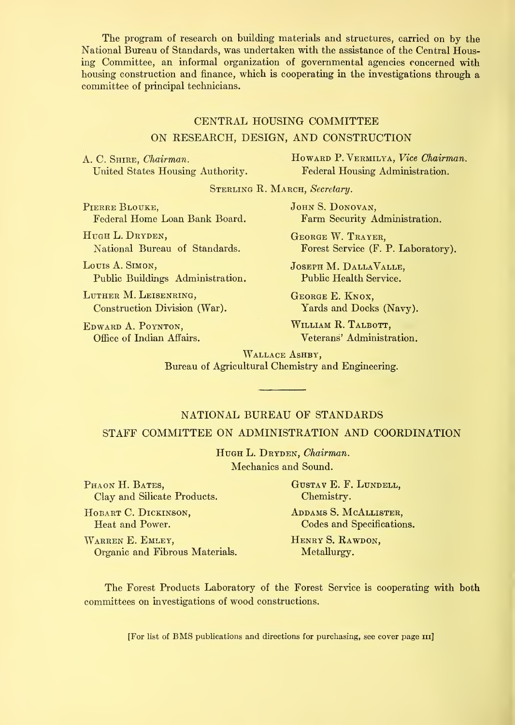The program of research on building materials and structures, carried on by the National Bureau of Standards, was undertaken with the assistance of the Central Housing Committee, an informal organization of governmental agencies concerned with housing construction and finance, which is cooperating in the investigations through a committee of principal technicians.

## CENTRAL HOUSING COMMITTEE

### ON RESEARCH, DESIGN, AND CONSTRUCTION

A. C. SHIRE, Chairman. United States Housing Authority. Howard P. Vermilya, Vice Chairman. Federal Housing Administration.

STERLING R. MARCH, Secretary.

PIERRE BLOUKE, Federal Home Loan Bank Board.

HUGH L. DRYDEN, National Bureau of Standards.

Louis A. Simon, Public Buildings Administration.

Luther M. Leisenring, Construction Division (War).

Edward A. Poynton, Office of Indian Affairs. JOHN S. DONOVAN, Farm Security Administration.

George W. Trayer, Forest Service (F. P. Laboratory).

Joseph M. DallaValle, Public Health Service.

George E. Knox, Yards and Docks (Navy).

William R. Talbott, Veterans' Administration.

WALLACE ASHBY, Bureau of Agricultural Chemistry and Engineering.

## NATIONAL BUREAU OF STANDARDS STAFF COMMITTEE ON ADMINISTRATION AND COORDINATION

HUGH L. DRYDEN, Chairman. Mechanics and Sound.

PHAON H. BATES, GUSTAV E. F. LUNDELL,<br>Clay and Silicate Products. Chemistry. Clay and Silicate Products.

HOBART C. DICKINSON, ADDAMS S. MCALLISTER,<br>
Heat and Power. Codes and Specification

WARREN E. EMLEY, HENRY S. RAWDON, Organic and Fibrous Materials. Metallurgy. Organic and Fibrous Materials.

Codes and Specifications.

The Forest Products Laboratory of the Forest Service is cooperating with both committees on investigations of wood constructions.

[For list of BMS publications and directions for purchasing, see cover page iii]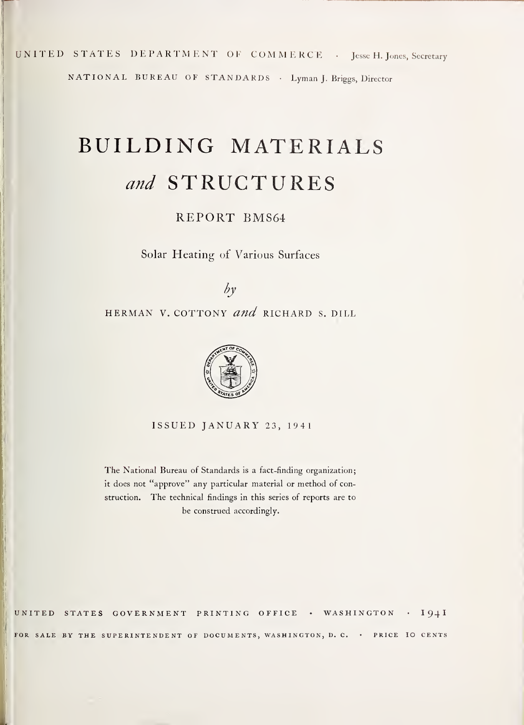UNITED STATES DEPARTMENT OF COMMERCE • Jesse H. Jones, Secretary

NATIONAL BUREAU OF STANDARDS • Lyman J. Briggs, Director

# BUILDING MATERIALS and STRUCTURES

## REPORT BMS64

Solar Heating of Various Surfaces

 $\partial y$ 

HERMAN V. COTTONY and RICHARD S. DILL



ISSUED JANUARY 23, <sup>1</sup><sup>94</sup> <sup>1</sup>

The National Bureau of Standards is a fact-finding organization; it does not "approve" any particular material or method of construction. The technical findings in this series of reports are to be construed accordingly.

<sup>1</sup> UNITED STATES GOVERNMENT PRINTING OFFICE • WASHINGTON • I94I FOR SALE BY THE SUPERINTENDENT OF DOCUMENTS, WASHINGTON, D. C. . PRICE IO CENTS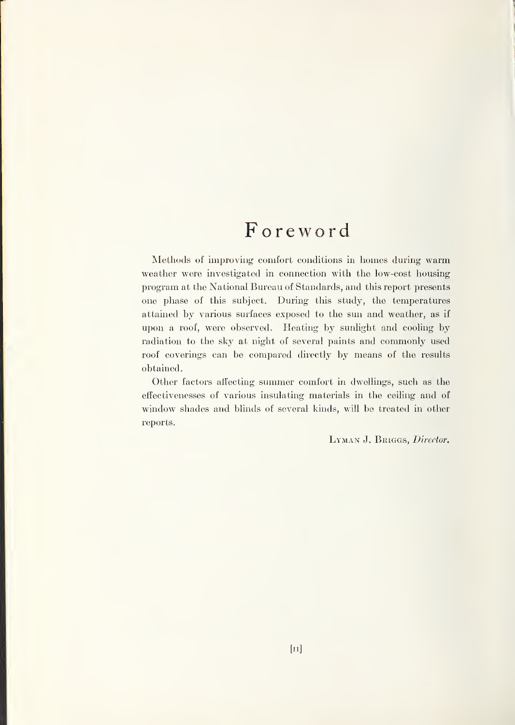## Foreword

Methods of improving comfort conditions in homes during warm weather were investigated in connection with the low-cost housing program at the National Bureau of Standards, and this report presents one phase of this subject. During this study, the temperatures attained by various surfaces exposed to the sun and weather, as if upon a roof, were observed. Heating by sunlight and cooling by radiation to the sky at night of several paints and commonly used roof coverings can be compared directly by means of the results obtained.

Other factors affecting summer comfort in dwellmgs, such as the effectivenesses of various insulating materials in the ceiling and of window shades and blinds of several kinds, will be treated in other reports.

LYMAN J. BRIGGS, Director.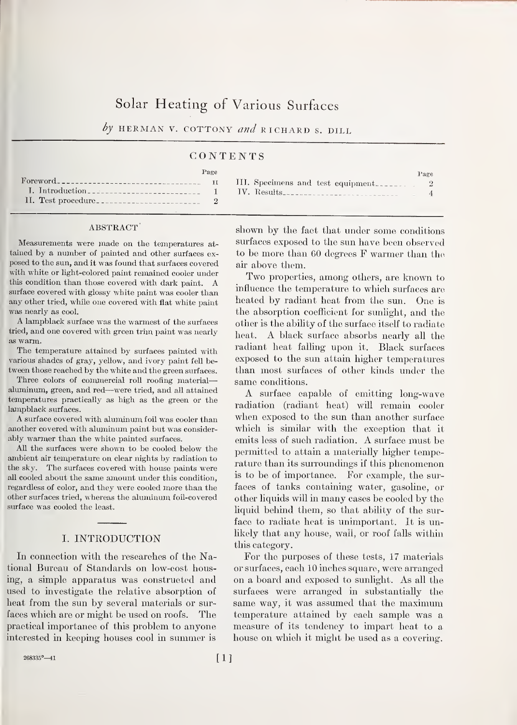## Solar Heating of Various Surfaces

by HERMAN V. COTTONY and RICHARD S. DILL

#### **CONTENTS**

|                                                                                                                                                                                                                                                                                                                                                                                                                   | Page | Page |  |
|-------------------------------------------------------------------------------------------------------------------------------------------------------------------------------------------------------------------------------------------------------------------------------------------------------------------------------------------------------------------------------------------------------------------|------|------|--|
| Foreword- $\frac{1}{2}$ = $\frac{1}{2}$ = $\frac{1}{2}$ = $\frac{1}{2}$ = $\frac{1}{2}$ = $\frac{1}{2}$ = $\frac{1}{2}$ = $\frac{1}{2}$ = $\frac{1}{2}$ = $\frac{1}{2}$ = $\frac{1}{2}$ = $\frac{1}{2}$ = $\frac{1}{2}$ = $\frac{1}{2}$ = $\frac{1}{2}$ = $\frac{1}{2}$ = $\frac{1}{2}$ = $\frac{1}{2}$<br>1 IV. Results <sub>-----------------------</sub> 1 IV. Results <sub>--------------------------</sub> 4 |      |      |  |
|                                                                                                                                                                                                                                                                                                                                                                                                                   |      |      |  |

#### ABSTRACT

Measurements were jnade on the temperatures at tained by a number of painted and other surfaces ex posed to the sun, and it was found that surfaces covered with white or light-colored paint remained cooler under this condition than those covered with dark paint. A surface covered with glossy white paint was cooler than any other tried, while one covered with flat white paint was nearly as cool.

A lampblack surface was the warmest of the surfaces tried, and one covered with green trim paint was nearly as warm.

The temperature attained by surfaces painted with various shades of gray, yellow, and ivory paint fell be tween those reached by the white and the green surfaces.

Three colors of commercial roll roofing material aluminum, green, and red—were tried, and all attained temperatures practically as high as the green or the lampblack surfaces.

A surface covered with aluminum foil was cooler than another covered with aluminum paint but was consider ably warmer than the white painted surfaces.

All the surfaces were shown to be cooled below the ambient air temperature on clear nights by radiation to the sky. The surfaces covered with house paints were all cooled about the same amount under this condition, regardless of color, and they were cooled more than the other surfaces tried, whereas the aluminum foil-covered surface was cooled the least.

#### I. INTRODUCTION

In connection with the researches of the National Bureau of Standards on low-cost housing, a simple apparatus was constructed and used to investigate the relative absorption of heat from the sun by several materials or surfaces which are or might be used on roofs. The practical importance of this problem to anyone interested in keeping houses cool in summer is

shown by the fact that under some conditions surfaces exposed to the sun have been observed to be more than 60 degrees F warmer than the air above them.

Two properties, among others, are known to influence the temperature to which surfaces are heated by radiant heat from the sun. One is the absorption coefficient for sunlight, and the other is the ability of the surface itself to radiate heat. A black surface absorbs nearly all the radiant heat falling upon it. Black surfaces exposed to the sun attain higher temperatures than most surfaces of other kinds under the same conditions.

A surface capable of emitting long-wave radiation (radiant heat) will remain cooler when exposed to the sun than another surface which is similar with the exception that it emits less of such radiation. A surface must be permitted to attain a materially higher temperature than its surroundings if this phenomenon is to be of importance. For example, the surfaces of tanks containing water, gasoline, or other liquids will in many cases be cooled by the liquid behind them, so that ability of the sur face to radiate heat is unimportant. It is unlikely that any house, wall, or roof falls within this category.

For the purposes of these tests, 17 materials or surfaces, each 10 inches square, were arranged on a board and exposed to sunlight. As all the surfaces were arranged in substantially the same way, it was assumed that the maximum temperature attained by each sample was a measure of its tendency to impart heat to a house on which it might be used as a covering.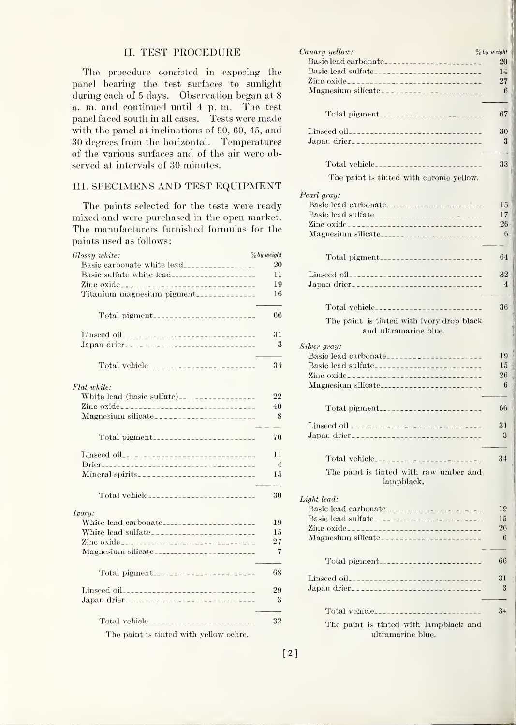#### II. TEST PROCEDURE

The procedure consisted in exposing the panel bearing the test surfaces to sunlight during each of 5 days. Observation began at 8 a. m. and continued until 4 p. m. The test panel faced south in all cases. Tests were made with the panel at inclinations of 90, 60, 45, and 30 degrees from the horizontal. Temperatures of the various surfaces and of the air were observed at intervals of 30 minutes.

## III. SPECIMENS AND TEST EQUIPMENT

The paints selected for the tests were ready mixed and were purchased in the open market. The manufacturers furnished formulas for the paints used as follows

| Glossy white:                                                                                                   | $%$ by weight |
|-----------------------------------------------------------------------------------------------------------------|---------------|
| Basic carbonate white lead_________________                                                                     | 20            |
|                                                                                                                 | 11            |
|                                                                                                                 | 19            |
| Titanium magnesium pigment                                                                                      | 16            |
| Total pigment                                                                                                   | 66            |
|                                                                                                                 | 31            |
| Japan drier                                                                                                     | 3             |
|                                                                                                                 | 34            |
| Flat white:                                                                                                     |               |
| White lead (basic sulfate)                                                                                      | 22            |
| Zine oxide                                                                                                      | 40            |
|                                                                                                                 | 8             |
| Total pigment                                                                                                   | 70            |
|                                                                                                                 | 11            |
|                                                                                                                 | 4             |
|                                                                                                                 | 15            |
| Total vehicle                                                                                                   | 30            |
| Ivory:                                                                                                          |               |
| White lead carbonate                                                                                            | 19<br>15      |
|                                                                                                                 | 27            |
|                                                                                                                 | 7             |
|                                                                                                                 | 68            |
|                                                                                                                 | 29            |
|                                                                                                                 | 3             |
|                                                                                                                 | 32            |
| and the state of the state of the state of the state of the state of the state of the state of the state of the |               |

The paint is tinted with yellow ochre.

| Canary yellow:                                       | $\%$ by weight |
|------------------------------------------------------|----------------|
|                                                      | 20             |
| Basic lead sulfate                                   | 14             |
|                                                      | 27             |
|                                                      | 6              |
|                                                      |                |
|                                                      |                |
|                                                      | 67             |
| Linseed oil__________________________________        | 30             |
|                                                      | 3              |
|                                                      |                |
| Total vehicle____________________________            | 33             |
| The paint is tinted with chrome yellow.              |                |
|                                                      |                |
| Pearl gray:                                          |                |
|                                                      | 15             |
|                                                      | 17             |
|                                                      | 26             |
| Magnesium silicate___________________________        | 6              |
|                                                      |                |
|                                                      | 64             |
|                                                      |                |
|                                                      | 32             |
|                                                      | 4              |
|                                                      |                |
| Total vehicle <sub>---------------------------</sub> | 36             |
| The paint is tinted with ivory drop black            |                |
| and ultramarine blue.                                |                |
|                                                      |                |
| Silver gray:                                         |                |
|                                                      | 19             |
|                                                      | 15             |
|                                                      | $^{26}$        |
|                                                      | 6              |
|                                                      |                |
|                                                      | 66             |
| Linseed oil__________________________________        | 31             |
|                                                      | 3              |
|                                                      |                |
|                                                      | 34             |
|                                                      |                |
| The paint is tinted with raw umber and<br>lampblack. |                |
|                                                      |                |
| Light lead:                                          |                |
|                                                      | 19             |
| Basic lead sulfate                                   | 15             |
|                                                      | $^{26}$        |
|                                                      | 6              |
|                                                      |                |
|                                                      | 66             |
|                                                      |                |
|                                                      | 31             |
|                                                      | 3              |
|                                                      |                |
| Total vehicle______________________                  | 34             |
| The paint is tinted with lampblack and               |                |
| ultramarine blue.                                    |                |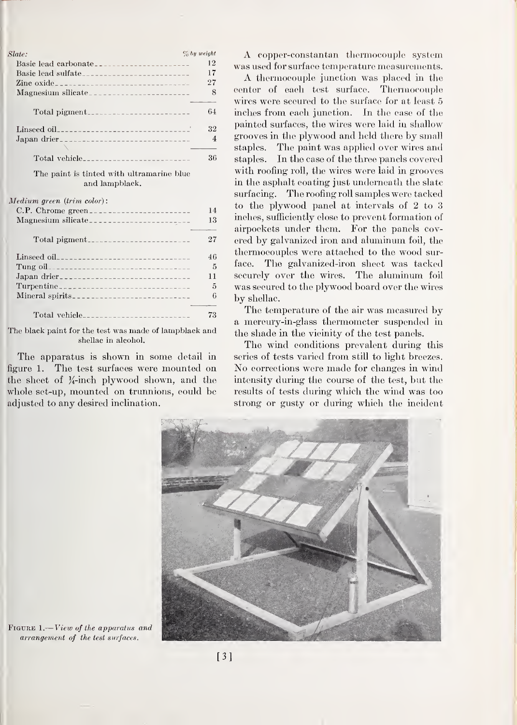| Slate: | $\%$ by weight |
|--------|----------------|
|        | 12             |
|        | 17             |
|        | 27             |
|        | 8              |
|        | 64             |
|        | 32             |
|        | 4              |
|        | 36             |

The paint is tinted with ultramarine blue and lampblack.

Medium green (trim color)

|                                               | 14 |
|-----------------------------------------------|----|
|                                               | 13 |
|                                               | 27 |
| Linseed oil__________________________________ | 46 |
|                                               | 5  |
|                                               | 11 |
|                                               | 5  |
|                                               | 6  |
| Total vehicle                                 | 73 |

The black paint for the test was made of lampblack and shellac in alcohol.

The apparatus is shown in some detail in figure 1. The test surfaces were mounted on the sheet of  $\frac{1}{4}$ -inch plywood shown, and the whole set-up, mounted on trunnions, could be adjusted to any desired inclination.

A copper-constantan thermocouple system was used for surface temperature measurements.

A thermocouple junction was placed in the center of each test surface. Thermocouple wires were secured to the surface for at least 5 inches from each junction. In the case of the painted surfaces, the wires were laid in shallow grooves in the plywood and held there by small staples. The paint was applied over wires and staples. In the case of the three panels covered with roofing roll, the wires were laid in grooves in the asphalt coating just underneath the slate surfacing. The roofing roll samples were tacked to the plywood panel at intervals of 2 to 3 inches, sufficiently close to prevent formation of airpockets under them. For the panels covered by galvanized iron and aluminum foil, the thermocouples were attached to the wood surface. The galvanized-iron sheet was tacked securely over the wires. The aluminum foil was secured to the plywood board over the wires by shellac.

The temperature of the air was measured by a mercury-in-glass thermometer suspended in the shade in the vicinity of the test panels.

The wind conditions prevalent during this series of tests varied from still to light breezes. No corrections were made for changes in wind intensity during the course of the test, but the results of tests during which the wind was too strong or gusty or during which the incident



FIGURE 1.—View of the apparatus and arrangement of the test surfaces.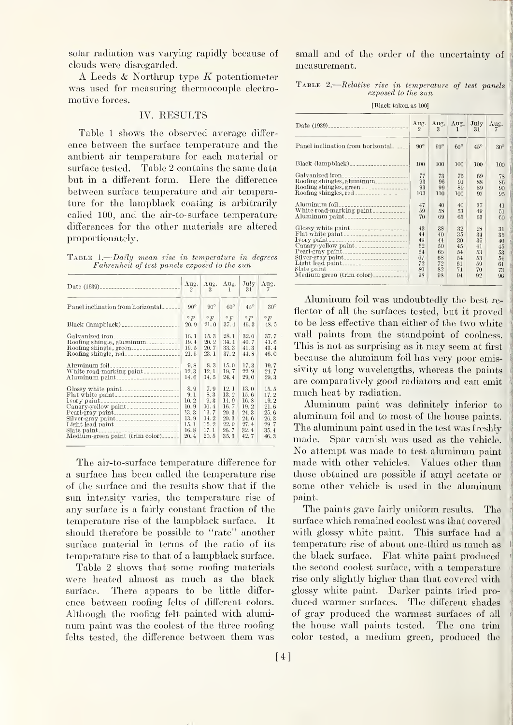solar radiation was varying rapidly because of clouds were disregarded.

A Leeds & Northrup type K potentiometer was used for measuring thermocouple electro motive forces.

#### IV. RESULTS

Table <sup>1</sup> shows the observed average differ ence between the surface temperature and the ambient air temperature for each material or surface tested. Table 2 contains the same data but in a different form. Here the difference between surface temperature and air temperature for the lampblack coating is arbitrarily called 100, and the air-to- surface temperature differences for the other materials are altered proportionately.

TABLE 1.—*Daily mean rise in temperature in degrees* Fahrenheit of test panels exposed to the sun

| Date (1939)------------------------------ | Aug.          | Aug.         | Aug.       | $\rm{July}$ | Aug.         |
|-------------------------------------------|---------------|--------------|------------|-------------|--------------|
|                                           | $\mathcal{D}$ | 3            | 1          | 31          | 7            |
| Panel inclination from horizontal.        | $90^\circ$    | $90^{\circ}$ | $60^\circ$ | $45^\circ$  | $30^{\circ}$ |
|                                           | $\circ$ F     | $\circ$ F    | $\circ$ F  | $\circ$ F   | $\circ$ F    |
|                                           | 20.9          | 21.0         | 37.4       | 46.3        | 48.5         |
| Galvanized iron                           | 16.1          | 15.3         | 28.1       | 32.0        | 37.7         |
| Roofing shingle, aluminum                 | 19.4          | 20.2         | 34.1       | 40.7        | 41.6         |
| Roofing shingle, green                    | 19.5          | 20.7         | 33.3       | 41.3        | 43.4         |
| Roofing shingle, red                      | 21.5          | 23.1         | 37.2       | 44.8        | 46.0         |
|                                           | 9.8           | 8.3          | 15.0       | 17.3        | 19.7         |
| White road-marking paint                  | 12.3          | 12.1         | 19.7       | 22.9        | 24.7         |
|                                           | 14.6          | 14.5         | 24.4       | 29.0        | 29.3         |
|                                           | 8.9           | 7.9          | 12.1       | 13.0        | 15.5         |
| Flat white paint                          | 9.1           | 8.3          | 13.2       | 15.6        | 17.2         |
|                                           | 10.2          | 9.3          | 14.9       | 16.8        | 19.2         |
| Canary-yellow paint _________________     | 10.9          | 10.4         | 16.7       | 19.2        | 21.6         |
|                                           | 13.3          | 13.7         | 20.3       | 24.3        | 25, 6        |
|                                           | 13.9          | 14.2         | 20.3       | 24.6        | 26.3         |
|                                           | 15.1          | 15.2         | 22.9       | 27.4        | 29.7         |
|                                           | 16.8          | 17.1         | 26.7       | 32.4        | 35.4         |
| Medium-green paint (trim color)           | 20.4          | 20.5         | 35.3       | 42.7        | 46.3         |

The air-to-surface temperature difference for a surface has been called the temperature rise of the surface and the results show that if the sun intensity varies, the temperature rise of any surface is a fairly constant fraction of the temperature rise of the lampblack surface. It should therefore be possible to "rate" another surface material in terms of the ratio of its temperature rise to that of a lampblack surface.

Table 2 shows that some roofing materials were heated ahnost as much as the black surface. There appears to be little difference between roofing felts of different colors. Although the roofing felt painted with aluminum paint was the coolest of the three roofing felts tested, the difference between them was

small and of the order of the uncertainty of measurement.

r

 $\texttt{TABLE 2}\texttt{---} Relative\;\; rise\;\; in\;\; temperature\;\; of\;\; test\;\; panels$ exposed to the sun

[Black taken as 100]

| Date $(1939)$                       | Aug.<br>$\mathcal{D}$ | Aug.<br>$\mathcal{R}$ | Aug.<br>1  | July<br>31 | Aug.       |
|-------------------------------------|-----------------------|-----------------------|------------|------------|------------|
| Panel inclination from horizontal.  | $90^\circ$            | $90^\circ$            | $60^\circ$ | $45^\circ$ | $30^\circ$ |
|                                     | 100                   | 100                   | 100        | 100        | 100        |
|                                     | 77                    | 73                    | 75         | 69         | 78         |
| $\text{Roofing}$ shingles, aluminum | 93                    | 96                    | 91         | 88         | S6         |
| Roofing shingles, green             | 93                    | 99                    | 89         | 89         | 90         |
| Roofing shingles, red               | 103                   | 110                   | 100        | 97         | 95         |
| Aluminum foil______<br>. 1          | 47                    | 40                    | 40         | 37         | 41         |
|                                     | 59                    | 58                    | 53         | 49         | 51         |
|                                     | 70                    | 69                    | 65         | 63         | 60         |
|                                     | 43                    | 38                    | 32         | 28         | 31         |
|                                     | 44                    | 40                    | 35         | 34         | 35         |
|                                     | 49                    | 44                    | 30         | 36         | 40         |
|                                     | 52                    | 50                    | 45         | 41         | 45         |
|                                     | 64                    | 65                    | 54         | 53         | 53         |
|                                     | 67                    | $68-$                 | 54         | 53         | 54         |
|                                     | 72                    | 72                    | 61         | 59         | 61         |
| Slate paint                         | 80                    | 82                    | 71         | 70         | 73         |
|                                     | 98                    | 98                    | 94         | 92         | 96         |

Aluminum foil was undoubtedly the best reflector of all the surfaces tested, but it proved to be less effective than either of the two white wall paints from the standpoint of coolness. This is not as surprising as it may seem at first because the aluminum foil has very poor emissivity at long wavelengths, whereas the paints are comparatively good radiators and can emit much heat by radiation.

Aluminum paint was definitely inferior to aluminum foil and to most of the house paints. The aluminum paint used in the test was freshly made. Spar varnish was used as the vehicle. No attempt was made to test aluminum paint made with other vehicles. Values other than those obtained are possible if amyl acetate or some other vehicle is used in the aluminum paint.

The paints gave fairly uniform results. The surface which remained coolest was that covered with glossy white paint. This surface had a temperature rise of about one-third as much as the black surface. Flat white paint produced the second coolest surface, with a temperature rise only slightly higher than that covered with glossy white paint. Darker paints tried pro duced warmer surfaces. The different shades of gray produced the warmest surfaces of all the house wall paints tested. The one trim color tested, a medium green, produced the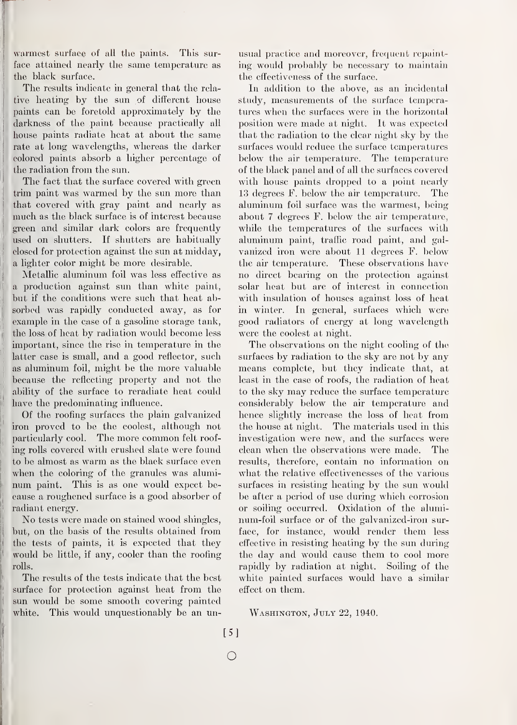warmest surface of all the paints. This surface attained nearly the same temperature as the black surface.

The results indicate in general that the relative heating by the sun of different house paints can be foretold approximately by the darkness of the paint because practically all house paints radiate heat at about the same rate at long wavelengths, whereas the darker colored paints absorb a higher percentage of the radiation from the sun.

The fact that the surface covered with green trim paint was warmed by the sun more than that covered with gray paint and nearly as much as the black surface is of interest because green and similar dark colors are frequently used on shutters. If shutters are habitually closed for protection against the sun at midday, a lighter color might be more desirable.

Aletallic aluminum foil was less effective as a production against sun than white paint, but if the conditions were such that heat absorbed was rapidly conducted away, as for example in the case of a gasoline storage tank, the loss of heat by radiation would become less important, since the rise in temperature in the latter case is small, and a good reflector, such as aluminum foil, might be the more valuable because the reflecting property and not the ability of the surface to reradiate heat could have the predominating influence.

Of the roofing surfaces the plain galvanized iron proved to be the coolest, although not particularly cool. The more common felt roofing rolls covered with crushed slate were found to be almost as warm as the black surface even when the coloring of the granules was aluminum paint. This is as one would expect because a roughened surface is a good absorber of radiant energy.

No tests were made on stained wood shingles, but, on the basis of the results obtained from the tests of paints, it is expected that they would be little, if any, cooler than the roofing rolls.

The results of the tests indicate that the best surface for protection against heat from the sun would be some smooth covering painted white. This would unquestionably be an unusual practice and moreover, frequent repainting would probably be necessary to maintain the effectiveness of the surface.

In addition to the above, as an incidental study, measurements of the surface temperatures when the surfaces were in the horizontal position were made at night. It was expected that the radiation to the clear night sky by the surfaces would reduce the surface temperatures below the air temperature. The temperature of the black panel and of all the surfaces covered with house paints dropped to a point nearly 13 degrees F. below the air temperature. The aluminum foil surface was the warmest, being about 7 degrees F. below the air temperature, while the temperatures of the surfaces with aluminum paint, traffic road paint, and galvanized iron were about 11 degrees F. below the air temperature. These observations have no direct bearing on the protection against solar heat but are of interest in connection with insulation of houses against loss of heat in winter. In general, surfaces which were good radiators of energy at long wavelength were the coolest at night.

The observations on the night cooling of the surfaces by radiation to the sky are not by any means complete, but they indicate that, at least in the case of roofs, the radiation of heat to the sky may reduce the surface temperature considerably below the air temperature and hence slightly increase the loss of heat from the house at night. The materials used in this investigation were new, and the surfaces were clean when the observations were made. The results, therefore, contain no information on what the relative effectivenesses of the various surfaces in resisting heating by the sun would be after a period of use during which corrosion or soiling occurred. Oxidation of the aluminum-foil surface or of the galvanized-iron surface, for instance, would render them less effective in resisting heating by the sun during the day and would cause them to cool more rapidly by radiation at night. Soiling of the white painted surfaces would have a similar effect on them.

WASHINGTON, JULY 22, 1940.

o

 $[5]$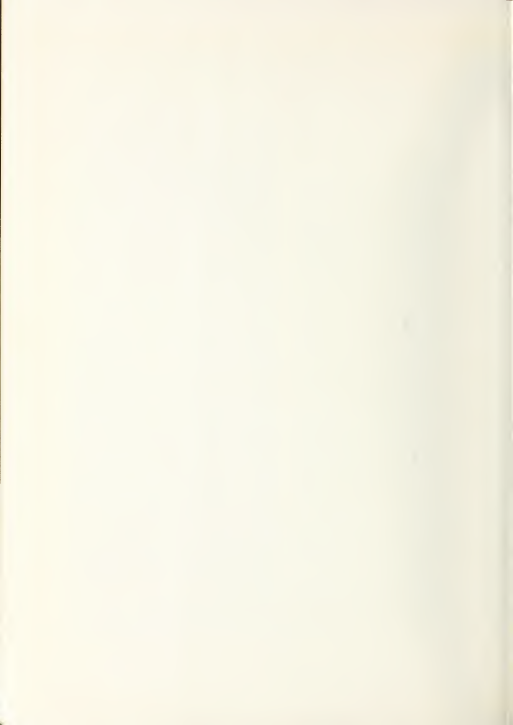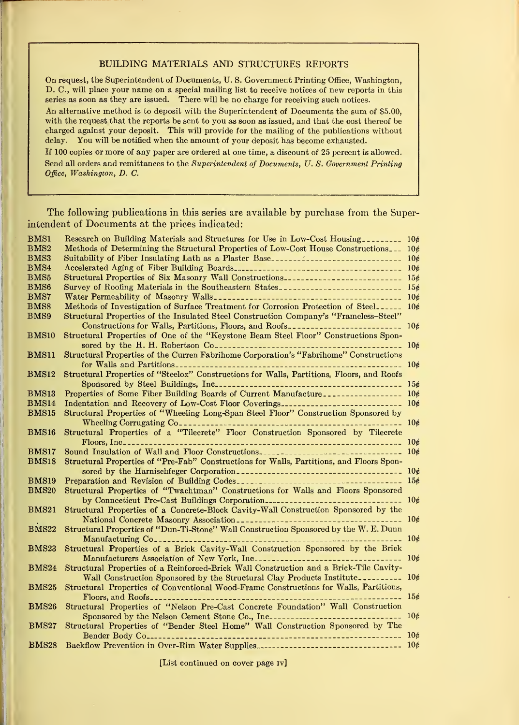#### BUILDING MATERIALS AND STRUCTURES REPORTS

On request, the Superintendent of Documents, U. S. Government Printing Office, Washington, D. C, will place your name on a special mailing list to receive notices of new reports in this series as soon as they are issued. There will be no charge for receiving such notices.

An alternative method is to deposit with the Superintendent of Documents the sum of \$5.00, with the request that the reports be sent to you as soon as issued, and that the cost thereof be charged against your deposit. This will provide for the mailing of the publications without delay. You will be notified when the amount of your deposit has become exhausted.

If 100 copies or more of any paper are ordered at one time, a discount of 25 percent is allowed. Send all orders and remittances to the Superintendent of Documents, U.S. Government Printing Office, Washington, D. C.

The following publications in this series are available by purchase from the Superintendent of Documents at the prices indicated:

| BMS1             | Research on Building Materials and Structures for Use in Low-Cost Housing                 |                 |
|------------------|-------------------------------------------------------------------------------------------|-----------------|
| BMS2             | Methods of Determining the Structural Properties of Low-Cost House Constructions          | 10 <sub>c</sub> |
| BMS3             | Suitability of Fiber Insulating Lath as a Plaster Base                                    | 10 <sub>0</sub> |
| BMS4             |                                                                                           |                 |
| BMS5             |                                                                                           |                 |
| BMS <sub>6</sub> | Survey of Roofing Materials in the Southeastern States                                    |                 |
| BMS7             |                                                                                           |                 |
| <b>BMS8</b>      | Methods of Investigation of Surface Treatment for Corrosion Protection of Steel______ 10¢ |                 |
| BMS9             | Structural Properties of the Insulated Steel Construction Company's "Frameless-Steel"     |                 |
|                  | Constructions for Walls, Partitions, Floors, and Roofs                                    | 10 <sub>c</sub> |
| <b>BMS10</b>     | Structural Properties of One of the "Keystone Beam Steel Floor" Constructions Spon-       |                 |
|                  | sored by the H. H. Robertson Co.                                                          |                 |
| BMS11            | Structural Properties of the Curren Fabrihome Corporation's "Fabrihome" Constructions     |                 |
|                  |                                                                                           |                 |
| BMS12            | Structural Properties of "Steelox" Constructions for Walls, Partitions, Floors, and Roofs |                 |
|                  |                                                                                           |                 |
| BMS13            |                                                                                           |                 |
| <b>BMS14</b>     |                                                                                           |                 |
| BMS15            | Structural Properties of "Wheeling Long-Span Steel Floor" Construction Sponsored by       |                 |
|                  |                                                                                           |                 |
| <b>BMS16</b>     | Structural Properties of a "Tilecrete" Floor Construction Sponsored by Tilecrete          |                 |
| BMS17            | Sound Insulation of Wall and Floor Constructions-------------------------------- 10¢      |                 |
| BMS18            | Structural Properties of "Pre-Fab" Constructions for Walls, Partitions, and Floors Spon-  |                 |
|                  |                                                                                           |                 |
| <b>BMS19</b>     |                                                                                           |                 |
| <b>BMS20</b>     | Structural Properties of "Twachtman" Constructions for Walls and Floors Sponsored         |                 |
|                  | by Connecticut Pre-Cast Buildings Corporation---------------------------------- 10¢       |                 |
| <b>BMS21</b>     | Structural Properties of a Concrete-Block Cavity-Wall Construction Sponsored by the       |                 |
|                  |                                                                                           |                 |
| <b>BMS22</b>     | Structural Properties of "Dun-Ti-Stone" Wall Construction Sponsored by the W. E. Dunn     |                 |
|                  |                                                                                           |                 |
| <b>BMS23</b>     | Structural Properties of a Brick Cavity-Wall Construction Sponsored by the Brick          |                 |
|                  |                                                                                           |                 |
| <b>BMS24</b>     | Structural Properties of a Reinforced-Brick Wall Construction and a Brick-Tile Cavity-    |                 |
|                  |                                                                                           |                 |
| BMS25            | Structural Properties of Conventional Wood-Frame Constructions for Walls, Partitions,     |                 |
|                  |                                                                                           |                 |
| <b>BMS26</b>     | Structural Properties of "Nelson Pre-Cast Concrete Foundation" Wall Construction          |                 |
|                  |                                                                                           |                 |
| <b>BMS27</b>     | Structural Properties of "Bender Steel Home" Wall Construction Sponsored by The           |                 |
|                  |                                                                                           |                 |
| <b>BMS28</b>     |                                                                                           |                 |

[List continued on cover page iv]